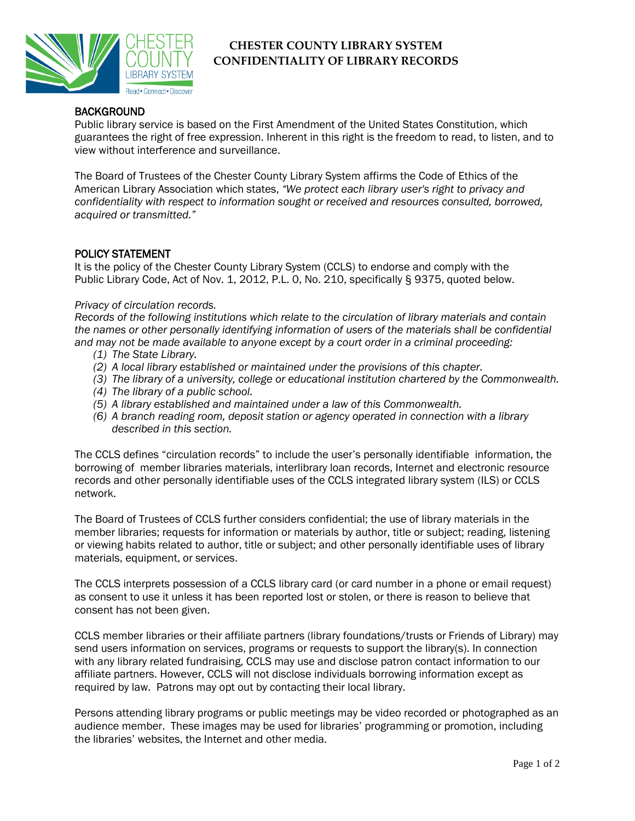

# **CHESTER COUNTY LIBRARY SYSTEM CONFIDENTIALITY OF LIBRARY RECORDS**

### **BACKGROUND**

Public library service is based on the First Amendment of the United States Constitution, which guarantees the right of free expression. Inherent in this right is the freedom to read, to listen, and to view without interference and surveillance.

The Board of Trustees of the Chester County Library System affirms the Code of Ethics of the American Library Association which states, *"We protect each library user's right to privacy and confidentiality with respect to information sought or received and resources consulted, borrowed, acquired or transmitted."*

### POLICY STATEMENT

It is the policy of the Chester County Library System (CCLS) to endorse and comply with the Public Library Code, Act of Nov. 1, 2012, P.L. 0, No. 210, specifically § 9375, quoted below.

#### *Privacy of circulation records.*

*Records of the following institutions which relate to the circulation of library materials and contain the names or other personally identifying information of users of the materials shall be confidential and may not be made available to anyone except by a court order in a criminal proceeding:*

- *(1) The State Library.*
- *(2) A local library established or maintained under the provisions of this chapter.*
- *(3) The library of a university, college or educational institution chartered by the Commonwealth.*
- *(4) The library of a public school.*
- *(5) A library established and maintained under a law of this Commonwealth.*
- *(6) A branch reading room, deposit station or agency operated in connection with a library described in this section.*

The CCLS defines "circulation records" to include the user's personally identifiable information, the borrowing of member libraries materials, interlibrary loan records, Internet and electronic resource records and other personally identifiable uses of the CCLS integrated library system (ILS) or CCLS network.

The Board of Trustees of CCLS further considers confidential; the use of library materials in the member libraries; requests for information or materials by author, title or subject; reading, listening or viewing habits related to author, title or subject; and other personally identifiable uses of library materials, equipment, or services.

The CCLS interprets possession of a CCLS library card (or card number in a phone or email request) as consent to use it unless it has been reported lost or stolen, or there is reason to believe that consent has not been given.

CCLS member libraries or their affiliate partners (library foundations/trusts or Friends of Library) may send users information on services, programs or requests to support the library(s). In connection with any library related fundraising, CCLS may use and disclose patron contact information to our affiliate partners. However, CCLS will not disclose individuals borrowing information except as required by law. Patrons may opt out by contacting their local library.

Persons attending library programs or public meetings may be video recorded or photographed as an audience member. These images may be used for libraries' programming or promotion, including the libraries' websites, the Internet and other media.